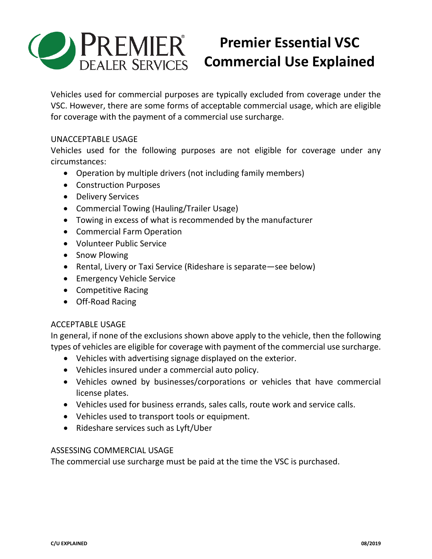

# **Premier Essential VSC Commercial Use Explained**

Vehicles used for commercial purposes are typically excluded from coverage under the VSC. However, there are some forms of acceptable commercial usage, which are eligible for coverage with the payment of a commercial use surcharge.

#### UNACCEPTABLE USAGE

Vehicles used for the following purposes are not eligible for coverage under any circumstances:

- Operation by multiple drivers (not including family members)
- Construction Purposes
- Delivery Services
- Commercial Towing (Hauling/Trailer Usage)
- Towing in excess of what is recommended by the manufacturer
- Commercial Farm Operation
- Volunteer Public Service
- Snow Plowing
- Rental, Livery or Taxi Service (Rideshare is separate—see below)
- **•** Emergency Vehicle Service
- Competitive Racing
- Off-Road Racing

### ACCEPTABLE USAGE

In general, if none of the exclusions shown above apply to the vehicle, then the following types of vehicles are eligible for coverage with payment of the commercial use surcharge.

- Vehicles with advertising signage displayed on the exterior.
- Vehicles insured under a commercial auto policy.
- Vehicles owned by businesses/corporations or vehicles that have commercial license plates.
- Vehicles used for business errands, sales calls, route work and service calls.
- Vehicles used to transport tools or equipment.
- Rideshare services such as Lyft/Uber

### ASSESSING COMMERCIAL USAGE

The commercial use surcharge must be paid at the time the VSC is purchased.